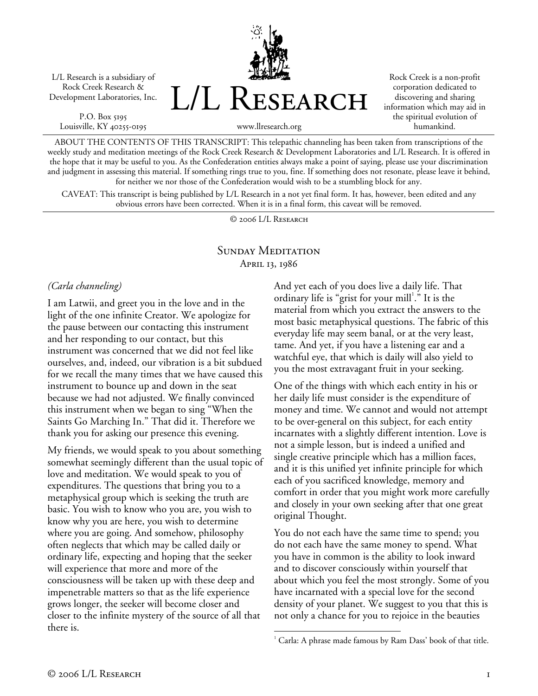L/L Research is a subsidiary of Rock Creek Research & Development Laboratories, Inc.

P.O. Box 5195 Louisville, KY 40255-0195 L/L Research

Rock Creek is a non-profit corporation dedicated to discovering and sharing information which may aid in the spiritual evolution of humankind.

www.llresearch.org

ABOUT THE CONTENTS OF THIS TRANSCRIPT: This telepathic channeling has been taken from transcriptions of the weekly study and meditation meetings of the Rock Creek Research & Development Laboratories and L/L Research. It is offered in the hope that it may be useful to you. As the Confederation entities always make a point of saying, please use your discrimination and judgment in assessing this material. If something rings true to you, fine. If something does not resonate, please leave it behind, for neither we nor those of the Confederation would wish to be a stumbling block for any.

CAVEAT: This transcript is being published by L/L Research in a not yet final form. It has, however, been edited and any obvious errors have been corrected. When it is in a final form, this caveat will be removed.

© 2006 L/L Research

## SUNDAY MEDITATION April 13, 1986

 $\overline{a}$ 

## *(Carla channeling)*

I am Latwii, and greet you in the love and in the light of the one infinite Creator. We apologize for the pause between our contacting this instrument and her responding to our contact, but this instrument was concerned that we did not feel like ourselves, and, indeed, our vibration is a bit subdued for we recall the many times that we have caused this instrument to bounce up and down in the seat because we had not adjusted. We finally convinced this instrument when we began to sing "When the Saints Go Marching In." That did it. Therefore we thank you for asking our presence this evening.

My friends, we would speak to you about something somewhat seemingly different than the usual topic of love and meditation. We would speak to you of expenditures. The questions that bring you to a metaphysical group which is seeking the truth are basic. You wish to know who you are, you wish to know why you are here, you wish to determine where you are going. And somehow, philosophy often neglects that which may be called daily or ordinary life, expecting and hoping that the seeker will experience that more and more of the consciousness will be taken up with these deep and impenetrable matters so that as the life experience grows longer, the seeker will become closer and closer to the infinite mystery of the source of all that there is.

And yet each of you does live a daily life. That ordinary life is "grist for your mill<sup>1</sup>." It is the material from which you extract the answers to the most basic metaphysical questions. The fabric of this everyday life may seem banal, or at the very least, tame. And yet, if you have a listening ear and a watchful eye, that which is daily will also yield to you the most extravagant fruit in your seeking.

One of the things with which each entity in his or her daily life must consider is the expenditure of money and time. We cannot and would not attempt to be over-general on this subject, for each entity incarnates with a slightly different intention. Love is not a simple lesson, but is indeed a unified and single creative principle which has a million faces, and it is this unified yet infinite principle for which each of you sacrificed knowledge, memory and comfort in order that you might work more carefully and closely in your own seeking after that one great original Thought.

You do not each have the same time to spend; you do not each have the same money to spend. What you have in common is the ability to look inward and to discover consciously within yourself that about which you feel the most strongly. Some of you have incarnated with a special love for the second density of your planet. We suggest to you that this is not only a chance for you to rejoice in the beauties

 $1$  Carla: A phrase made famous by Ram Dass' book of that title.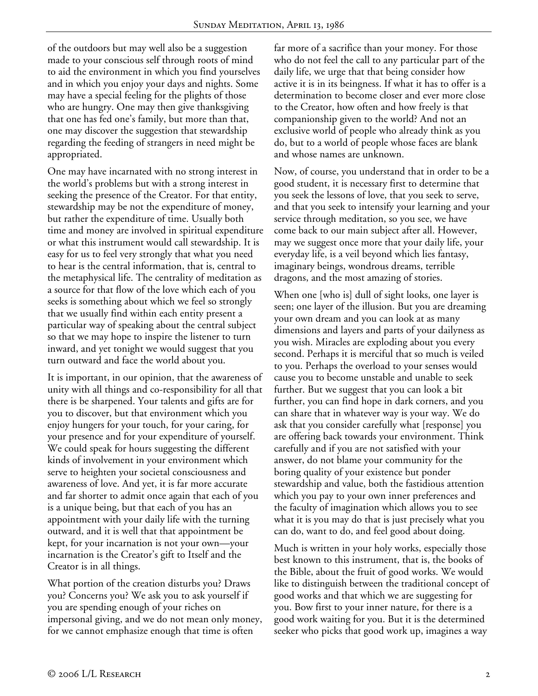of the outdoors but may well also be a suggestion made to your conscious self through roots of mind to aid the environment in which you find yourselves and in which you enjoy your days and nights. Some may have a special feeling for the plights of those who are hungry. One may then give thanksgiving that one has fed one's family, but more than that, one may discover the suggestion that stewardship regarding the feeding of strangers in need might be appropriated.

One may have incarnated with no strong interest in the world's problems but with a strong interest in seeking the presence of the Creator. For that entity, stewardship may be not the expenditure of money, but rather the expenditure of time. Usually both time and money are involved in spiritual expenditure or what this instrument would call stewardship. It is easy for us to feel very strongly that what you need to hear is the central information, that is, central to the metaphysical life. The centrality of meditation as a source for that flow of the love which each of you seeks is something about which we feel so strongly that we usually find within each entity present a particular way of speaking about the central subject so that we may hope to inspire the listener to turn inward, and yet tonight we would suggest that you turn outward and face the world about you.

It is important, in our opinion, that the awareness of unity with all things and co-responsibility for all that there is be sharpened. Your talents and gifts are for you to discover, but that environment which you enjoy hungers for your touch, for your caring, for your presence and for your expenditure of yourself. We could speak for hours suggesting the different kinds of involvement in your environment which serve to heighten your societal consciousness and awareness of love. And yet, it is far more accurate and far shorter to admit once again that each of you is a unique being, but that each of you has an appointment with your daily life with the turning outward, and it is well that that appointment be kept, for your incarnation is not your own—your incarnation is the Creator's gift to Itself and the Creator is in all things.

What portion of the creation disturbs you? Draws you? Concerns you? We ask you to ask yourself if you are spending enough of your riches on impersonal giving, and we do not mean only money, for we cannot emphasize enough that time is often

far more of a sacrifice than your money. For those who do not feel the call to any particular part of the daily life, we urge that that being consider how active it is in its beingness. If what it has to offer is a determination to become closer and ever more close to the Creator, how often and how freely is that companionship given to the world? And not an exclusive world of people who already think as you do, but to a world of people whose faces are blank and whose names are unknown.

Now, of course, you understand that in order to be a good student, it is necessary first to determine that you seek the lessons of love, that you seek to serve, and that you seek to intensify your learning and your service through meditation, so you see, we have come back to our main subject after all. However, may we suggest once more that your daily life, your everyday life, is a veil beyond which lies fantasy, imaginary beings, wondrous dreams, terrible dragons, and the most amazing of stories.

When one [who is] dull of sight looks, one layer is seen; one layer of the illusion. But you are dreaming your own dream and you can look at as many dimensions and layers and parts of your dailyness as you wish. Miracles are exploding about you every second. Perhaps it is merciful that so much is veiled to you. Perhaps the overload to your senses would cause you to become unstable and unable to seek further. But we suggest that you can look a bit further, you can find hope in dark corners, and you can share that in whatever way is your way. We do ask that you consider carefully what [response] you are offering back towards your environment. Think carefully and if you are not satisfied with your answer, do not blame your community for the boring quality of your existence but ponder stewardship and value, both the fastidious attention which you pay to your own inner preferences and the faculty of imagination which allows you to see what it is you may do that is just precisely what you can do, want to do, and feel good about doing.

Much is written in your holy works, especially those best known to this instrument, that is, the books of the Bible, about the fruit of good works. We would like to distinguish between the traditional concept of good works and that which we are suggesting for you. Bow first to your inner nature, for there is a good work waiting for you. But it is the determined seeker who picks that good work up, imagines a way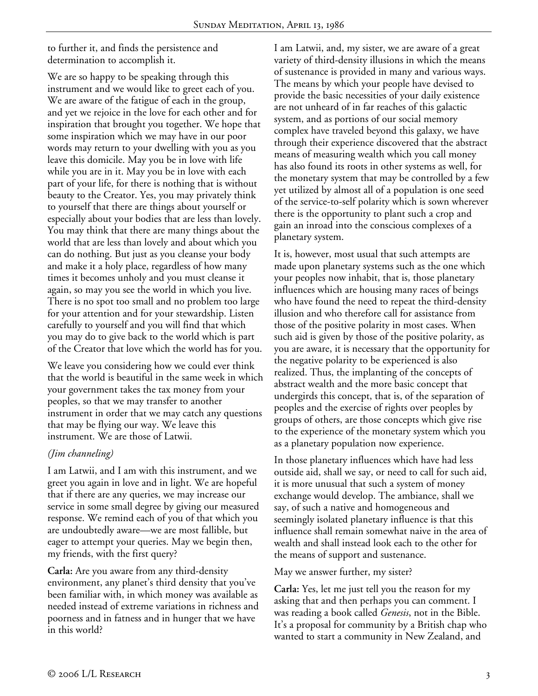to further it, and finds the persistence and determination to accomplish it.

We are so happy to be speaking through this instrument and we would like to greet each of you. We are aware of the fatigue of each in the group, and yet we rejoice in the love for each other and for inspiration that brought you together. We hope that some inspiration which we may have in our poor words may return to your dwelling with you as you leave this domicile. May you be in love with life while you are in it. May you be in love with each part of your life, for there is nothing that is without beauty to the Creator. Yes, you may privately think to yourself that there are things about yourself or especially about your bodies that are less than lovely. You may think that there are many things about the world that are less than lovely and about which you can do nothing. But just as you cleanse your body and make it a holy place, regardless of how many times it becomes unholy and you must cleanse it again, so may you see the world in which you live. There is no spot too small and no problem too large for your attention and for your stewardship. Listen carefully to yourself and you will find that which you may do to give back to the world which is part of the Creator that love which the world has for you.

We leave you considering how we could ever think that the world is beautiful in the same week in which your government takes the tax money from your peoples, so that we may transfer to another instrument in order that we may catch any questions that may be flying our way. We leave this instrument. We are those of Latwii.

## *(Jim channeling)*

I am Latwii, and I am with this instrument, and we greet you again in love and in light. We are hopeful that if there are any queries, we may increase our service in some small degree by giving our measured response. We remind each of you of that which you are undoubtedly aware—we are most fallible, but eager to attempt your queries. May we begin then, my friends, with the first query?

**Carla:** Are you aware from any third-density environment, any planet's third density that you've been familiar with, in which money was available as needed instead of extreme variations in richness and poorness and in fatness and in hunger that we have in this world?

I am Latwii, and, my sister, we are aware of a great variety of third-density illusions in which the means of sustenance is provided in many and various ways. The means by which your people have devised to provide the basic necessities of your daily existence are not unheard of in far reaches of this galactic system, and as portions of our social memory complex have traveled beyond this galaxy, we have through their experience discovered that the abstract means of measuring wealth which you call money has also found its roots in other systems as well, for the monetary system that may be controlled by a few yet utilized by almost all of a population is one seed of the service-to-self polarity which is sown wherever there is the opportunity to plant such a crop and gain an inroad into the conscious complexes of a planetary system.

It is, however, most usual that such attempts are made upon planetary systems such as the one which your peoples now inhabit, that is, those planetary influences which are housing many races of beings who have found the need to repeat the third-density illusion and who therefore call for assistance from those of the positive polarity in most cases. When such aid is given by those of the positive polarity, as you are aware, it is necessary that the opportunity for the negative polarity to be experienced is also realized. Thus, the implanting of the concepts of abstract wealth and the more basic concept that undergirds this concept, that is, of the separation of peoples and the exercise of rights over peoples by groups of others, are those concepts which give rise to the experience of the monetary system which you as a planetary population now experience.

In those planetary influences which have had less outside aid, shall we say, or need to call for such aid, it is more unusual that such a system of money exchange would develop. The ambiance, shall we say, of such a native and homogeneous and seemingly isolated planetary influence is that this influence shall remain somewhat naive in the area of wealth and shall instead look each to the other for the means of support and sustenance.

May we answer further, my sister?

**Carla:** Yes, let me just tell you the reason for my asking that and then perhaps you can comment. I was reading a book called *Genesis*, not in the Bible. It's a proposal for community by a British chap who wanted to start a community in New Zealand, and